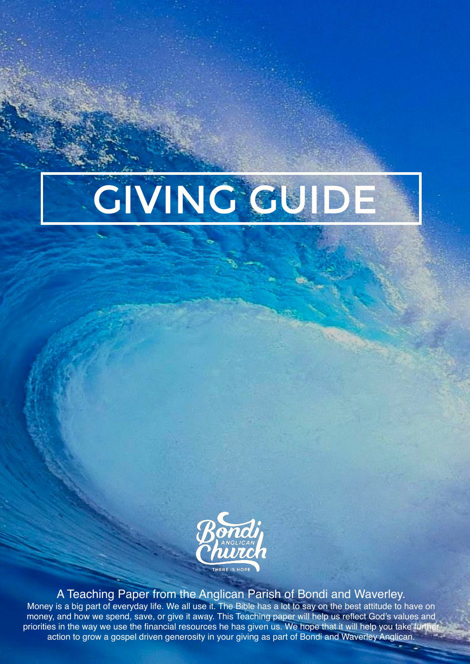



A Teaching Paper from the Anglican Parish of Bondi and Waverley. Money is a big part of everyday life. We all use it. The Bible has a lot to say on the best attitude to have on money, and how we spend, save, or give it away. This Teaching paper will help us reflect God's values and priorities in the way we use the financial resources he has given us. We hope that it will help you take furthe action to grow a gospel driven generosity in your giving as part of Bondi and Waverley Anglican.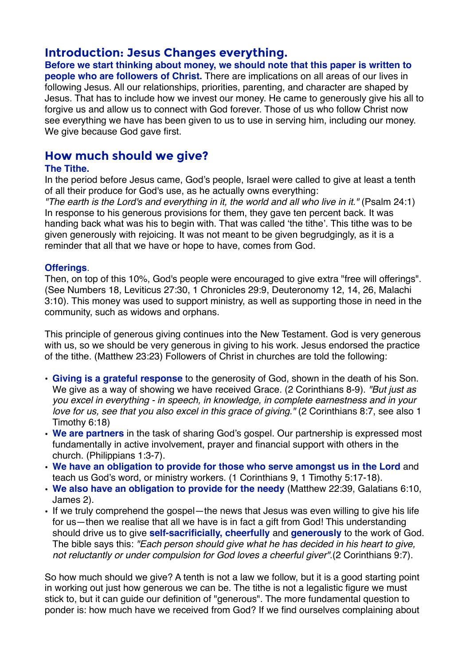# **Introduction: Jesus Changes everything.**

**Before we start thinking about money, we should note that this paper is written to people who are followers of Christ.** There are implications on all areas of our lives in following Jesus. All our relationships, priorities, parenting, and character are shaped by Jesus. That has to include how we invest our money. He came to generously give his all to forgive us and allow us to connect with God forever. Those of us who follow Christ now see everything we have has been given to us to use in serving him, including our money. We give because God gave first.

## **How much should we give?**

### **The Tithe.**

In the period before Jesus came, God's people, Israel were called to give at least a tenth of all their produce for God's use, as he actually owns everything:

*"The earth is the Lord's and everything in it, the world and all who live in it."* (Psalm 24:1) In response to his generous provisions for them, they gave ten percent back. It was handing back what was his to begin with. That was called 'the tithe'. This tithe was to be given generously with rejoicing. It was not meant to be given begrudgingly, as it is a reminder that all that we have or hope to have, comes from God.

### **Offerings**.

Then, on top of this 10%, God's people were encouraged to give extra "free will offerings". (See Numbers 18, Leviticus 27:30, 1 Chronicles 29:9, Deuteronomy 12, 14, 26, Malachi 3:10). This money was used to support ministry, as well as supporting those in need in the community, such as widows and orphans.

This principle of generous giving continues into the New Testament. God is very generous with us, so we should be very generous in giving to his work. Jesus endorsed the practice of the tithe. (Matthew 23:23) Followers of Christ in churches are told the following:

- **Giving is a grateful response** to the generosity of God, shown in the death of his Son. We give as a way of showing we have received Grace. (2 Corinthians 8-9). *"But just as you excel in everything - in speech, in knowledge, in complete earnestness and in your love for us, see that you also excel in this grace of giving."* (2 Corinthians 8:7, see also 1 Timothy 6:18)
- **We are partners** in the task of sharing God's gospel. Our partnership is expressed most fundamentally in active involvement, prayer and financial support with others in the church. (Philippians 1:3-7).
- **We have an obligation to provide for those who serve amongst us in the Lord** and teach us God's word, or ministry workers. (1 Corinthians 9, 1 Timothy 5:17-18).
- **We also have an obligation to provide for the needy** (Matthew 22:39, Galatians 6:10, James 2).
- If we truly comprehend the gospel—the news that Jesus was even willing to give his life for us—then we realise that all we have is in fact a gift from God! This understanding should drive us to give **self-sacrificially, cheerfully** and **generously** to the work of God. The bible says this: *"Each person should give what he has decided in his heart to give, not reluctantly or under compulsion for God loves a cheerful giver"*.(2 Corinthians 9:7).

So how much should we give? A tenth is not a law we follow, but it is a good starting point in working out just how generous we can be. The tithe is not a legalistic figure we must stick to, but it can guide our definition of "generous". The more fundamental question to ponder is: how much have we received from God? If we find ourselves complaining about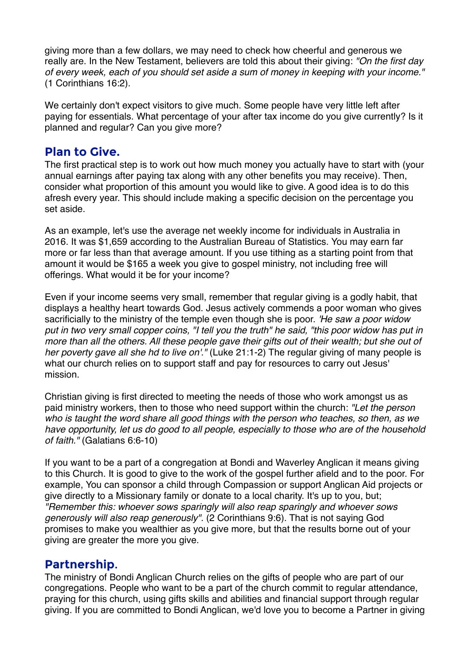giving more than a few dollars, we may need to check how cheerful and generous we really are. In the New Testament, believers are told this about their giving: *"On the first day of every week, each of you should set aside a sum of money in keeping with your income."*  (1 Corinthians 16:2).

We certainly don't expect visitors to give much. Some people have very little left after paying for essentials. What percentage of your after tax income do you give currently? Is it planned and regular? Can you give more?

### **Plan to Give.**

The first practical step is to work out how much money you actually have to start with (your annual earnings after paying tax along with any other benefits you may receive). Then, consider what proportion of this amount you would like to give. A good idea is to do this afresh every year. This should include making a specific decision on the percentage you set aside.

As an example, let's use the average net weekly income for individuals in Australia in 2016. It was \$1,659 according to the Australian Bureau of Statistics. You may earn far more or far less than that average amount. If you use tithing as a starting point from that amount it would be \$165 a week you give to gospel ministry, not including free will offerings. What would it be for your income?

Even if your income seems very small, remember that regular giving is a godly habit, that displays a healthy heart towards God. Jesus actively commends a poor woman who gives sacrificially to the ministry of the temple even though she is poor. *'He saw a poor widow put in two very small copper coins, "I tell you the truth" he said, "this poor widow has put in more than all the others. All these people gave their gifts out of their wealth; but she out of her poverty gave all she hd to live on'."* (Luke 21:1-2) The regular giving of many people is what our church relies on to support staff and pay for resources to carry out Jesus' mission.

Christian giving is first directed to meeting the needs of those who work amongst us as paid ministry workers, then to those who need support within the church: *"Let the person who is taught the word share all good things with the person who teaches, so then, as we have opportunity, let us do good to all people, especially to those who are of the household of faith."* (Galatians 6:6-10)

If you want to be a part of a congregation at Bondi and Waverley Anglican it means giving to this Church. It is good to give to the work of the gospel further afield and to the poor. For example, You can sponsor a child through Compassion or support Anglican Aid projects or give directly to a Missionary family or donate to a local charity. It's up to you, but; *"Remember this: whoever sows sparingly will also reap sparingly and whoever sows generously will also reap generously".* (2 Corinthians 9:6). That is not saying God promises to make you wealthier as you give more, but that the results borne out of your giving are greater the more you give.

## **Partnership**.

The ministry of Bondi Anglican Church relies on the gifts of people who are part of our congregations. People who want to be a part of the church commit to regular attendance, praying for this church, using gifts skills and abilities and financial support through regular giving. If you are committed to Bondi Anglican, we'd love you to become a Partner in giving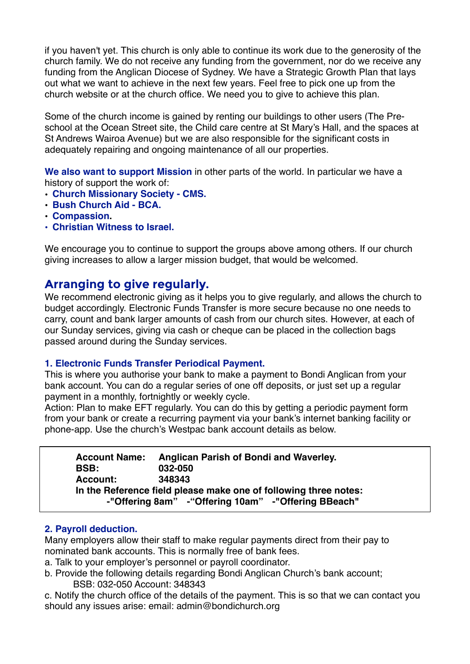if you haven't yet. This church is only able to continue its work due to the generosity of the church family. We do not receive any funding from the government, nor do we receive any funding from the Anglican Diocese of Sydney. We have a Strategic Growth Plan that lays out what we want to achieve in the next few years. Feel free to pick one up from the church website or at the church office. We need you to give to achieve this plan.

Some of the church income is gained by renting our buildings to other users (The Preschool at the Ocean Street site, the Child care centre at St Mary's Hall, and the spaces at St Andrews Wairoa Avenue) but we are also responsible for the significant costs in adequately repairing and ongoing maintenance of all our properties.

**We also want to support Mission** in other parts of the world. In particular we have a history of support the work of:

- **• Church Missionary Society CMS.**
- **• Bush Church Aid BCA.**
- **• Compassion.**
- **• Christian Witness to Israel.**

We encourage you to continue to support the groups above among others. If our church giving increases to allow a larger mission budget, that would be welcomed.

## **Arranging to give regularly.**

We recommend electronic giving as it helps you to give regularly, and allows the church to budget accordingly. Electronic Funds Transfer is more secure because no one needs to carry, count and bank larger amounts of cash from our church sites. However, at each of our Sunday services, giving via cash or cheque can be placed in the collection bags passed around during the Sunday services.

#### **1. Electronic Funds Transfer Periodical Payment.**

This is where you authorise your bank to make a payment to Bondi Anglican from your bank account. You can do a regular series of one off deposits, or just set up a regular payment in a monthly, fortnightly or weekly cycle.

Action: Plan to make EFT regularly. You can do this by getting a periodic payment form from your bank or create a recurring payment via your bank's internet banking facility or phone-app. Use the church's Westpac bank account details as below.

| <b>Account Name:</b>                                             | Anglican Parish of Bondi and Waverley.                |
|------------------------------------------------------------------|-------------------------------------------------------|
| <b>BSB:</b>                                                      | 032-050                                               |
| <b>Account:</b>                                                  | 348343                                                |
| In the Reference field please make one of following three notes: |                                                       |
|                                                                  | -"Offering 8am" - "Offering 10am" - "Offering BBeach" |

### **2. Payroll deduction.**

Many employers allow their staff to make regular payments direct from their pay to nominated bank accounts. This is normally free of bank fees.

- a. Talk to your employer's personnel or payroll coordinator.
- b. Provide the following details regarding Bondi Anglican Church's bank account; BSB: 032-050 Account: 348343

c. Notify the church office of the details of the payment. This is so that we can contact you should any issues arise: email: admin@bondichurch.org